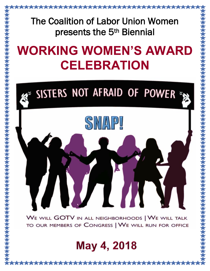#### The Coalition of Labor Union Women presents the 5th Biennial

\*\*\*\*\*\*\*\*\*\*\*\*\*\*\*\*\*

## **WORKING WOMEN'S AWARD CELEBRATION**

# SISTERS NOT AFRAID OF POWER SNAPI ЛИ WE WILL GOTV IN ALL NEIGHBORHOODS | WE WILL TALK TO OUR MEMBERS OF CONGRESS | WE WILL RUN FOR OFFICE

#### May 4, 2018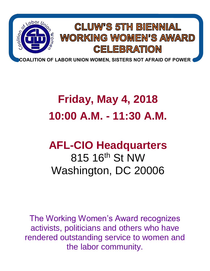

### **Friday, May 4, 2018 10:00 A.M. - 11:30 A.M.**

#### **AFL-CIO Headquarters** 815 16th St NW Washington, DC 20006

The Working Women's Award recognizes activists, politicians and others who have rendered outstanding service to women and the labor community.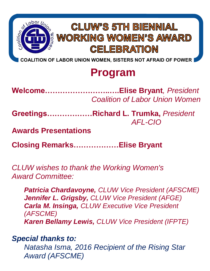

**COALITION OF LABOR UNION WOMEN, SISTERS NOT AFRAID OF POWER**

#### **Program**

**Welcome……………………..….Elise Bryant***, President Coalition of Labor Union Women*

**Greetings………………Richard L. Trumka,** *President AFL-CIO*

**Awards Presentations**

**Closing Remarks………………Elise Bryant**

*CLUW wishes to thank the Working Women's Award Committee:* 

*Patricia Chardavoyne, CLUW Vice President (AFSCME) Jennifer L. Grigsby, CLUW Vice President (AFGE) Carla M. Insinga, CLUW Executive Vice President (AFSCME) Karen Bellamy Lewis, CLUW Vice President (IFPTE)*

*Special thanks to:*

*Natasha Isma, 2016 Recipient of the Rising Star Award (AFSCME)*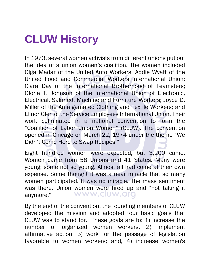#### **CLUW History**

In 1973, several women activists from different unions put out the idea of a union women's coalition. The women included Olga Madar of the United Auto Workers; Addie Wyatt of the United Food and Commercial Workers International Union; Clara Day of the International Brotherhood of Teamsters; Gloria T. Johnson of the International Union of Electronic, Electrical, Salaried, Machine and Furniture Workers; Joyce D. Miller of the Amalgamated Clothing and Textile Workers; and Elinor Glen of the Service Employees International Union. Their work culminated in a national convention to form the "Coalition of Labor Union Women" (CLUW). The convention opened in Chicago on March 22, 1974 under the theme "We Didn't Come Here to Swap Recipes."

Eight hundred women were expected, but 3,200 came. Women came from 58 Unions and 41 States. Many were young; some not so young. Almost all had come at their own expense. Some thought it was a near miracle that so many women participated. It was no miracle. The mass sentiment was there. Union women were fired up and "not taking it anymore." www.cluw.org

By the end of the convention, the founding members of CLUW developed the mission and adopted four basic goals that CLUW was to stand for. These goals are to: 1) increase the number of organized women workers, 2) implement affirmative action; 3) work for the passage of legislation favorable to women workers; and, 4) increase women's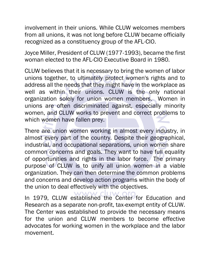involvement in their unions. While CLUW welcomes members from all unions, it was not long before CLUW became officially recognized as a constituency group of the AFL-CIO.

Joyce Miller, President of CLUW (1977-1993), became the first woman elected to the AFL-CIO Executive Board in 1980.

CLUW believes that it is necessary to bring the women of labor unions together, to ultimately protect women's rights and to address all the needs that they might have in the workplace as well as within their unions. CLUW is the only national organization solely for union women members. Women in unions are often discriminated against, especially minority women, and CLUW works to prevent and correct problems to which women have fallen prey.

There are union women working in almost every industry, in almost every part of the country. Despite their geographical, industrial, and occupational separations, union women share common concerns and goals. They want to have full equality of opportunities and rights in the labor force. The primary purpose of CLUW is to unify all union women in a viable organization. They can then determine the common problems and concerns and develop action programs within the body of the union to deal effectively with the objectives.

In 1979, CLUW established the Center for Education and Research as a separate non-profit, tax-exempt entity of CLUW. The Center was established to provide the necessary means for the union and CLUW members to become effective advocates for working women in the workplace and the labor movement.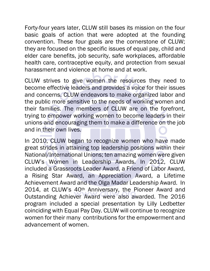Forty-four years later, CLUW still bases its mission on the four basic goals of action that were adopted at the founding convention. These four goals are the cornerstone of CLUW; they are focused on the specific issues of equal pay, child and elder care benefits, job security, safe workplaces, affordable health care, contraceptive equity, and protection from sexual harassment and violence at home and at work.

CLUW strives to give women the resources they need to become effective leaders and provides a voice for their issues and concerns. CLUW endeavors to make organized labor and the public more sensitive to the needs of working women and their families. The members of CLUW are on the forefront, trying to empower working women to become leaders in their unions and encouraging them to make a difference on the job and in their own lives.

In 2010, CLUW began to recognize women who have made great strides in attaining top leadership positions within their National/International Unions; ten amazing women were given CLUW's Women in Leadership Awards. In 2012, CLUW included a Grassroots Leader Award, a Friend of Labor Award, a Rising Star Award, an Appreciation Award, a Lifetime Achievement Award and the Olga Madar Leadership Award. In 2014, at CLUW's 40<sup>th</sup> Anniversary, the Pioneer Award and Outstanding Achiever Award were also awarded. The 2016 program included a special presentation by Lilly Ledbetter coinciding with Equal Pay Day. CLUW will continue to recognize women for their many contributions for the empowerment and advancement of women.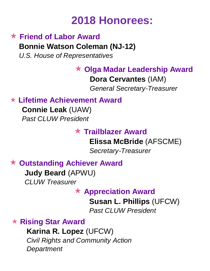#### **2018 Honorees:**

#### **★ Friend of Labor Award Bonnie Watson Coleman (NJ-12)** *U.S. House of Representatives*

 **Olga Madar Leadership Award Dora Cervantes** (IAM) *General Secretary-Treasurer*

**Lifetime Achievement Award** 

**Connie Leak** (UAW) *Past CLUW President*

#### **Trailblazer Award**

**Elissa McBride** (AFSCME) *Secretary-Treasurer*

**Outstanding Achiever Award**

**Judy Beard** (APWU) *CLUW Treasurer*

**Appreciation Award** 

**Susan L. Phillips** (UFCW)

*Past CLUW President*

**Rising Star Award** 

**Karina R. Lopez** (UFCW) *Civil Rights and Community Action Department*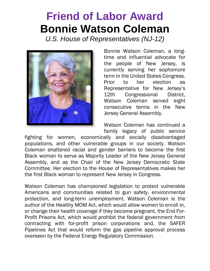#### **Friend of Labor Award Bonnie Watson Coleman**

*U.S. House of Representatives (NJ-12)*



Bonnie Watson Coleman, a longtime and influential advocate for the people of New Jersey, is currently serving her sophomore term in the United States Congress. Prior to her election as Representative for New Jersey's 12th Congressional District, Watson Coleman served eight consecutive terms in the New Jersey General Assembly.

Watson Coleman has continued a family legacy of public service

fighting for women, economically and socially disadvantaged populations, and other vulnerable groups in our society. Watson Coleman shattered racial and gender barriers to become the first Black woman to serve as Majority Leader of the New Jersey General Assembly, and as the Chair of the New Jersey Democratic State Committee. Her election to the House of Representatives makes her the first Black woman to represent New Jersey in Congress.

Watson Coleman has championed legislation to protect vulnerable Americans and communities related to gun safety, environmental protection, and long-term unemployment. Watson Coleman is the author of the Healthy MOM Act, which would allow women to enroll in, or change their health coverage if they become pregnant, the End For-Profit Prisons Act, which would prohibit the federal government from contracting with for-profit prison corporations and, the SAFER Pipelines Act that would reform the gas pipeline approval process overseen by the Federal Energy Regulatory Commission.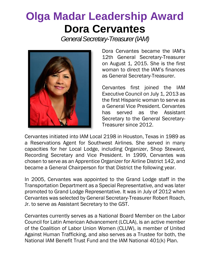#### **Olga Madar Leadership Award Dora Cervantes**

*General Secretary-Treasurer (IAM)*



Dora Cervantes became the IAM's 12th General Secretary-Treasurer on August 1, 2015. She is the first woman to direct the IAM's finances as General Secretary-Treasurer.

Cervantes first joined the IAM Executive Council on July 1, 2013 as the first Hispanic woman to serve as a General Vice President. Cervantes has served as the Assistant Secretary to the General Secretary-Treasurer since 2012.

Cervantes initiated into IAM Local 2198 in Houston, Texas in 1989 as a Reservations Agent for Southwest Airlines. She served in many capacities for her Local Lodge, including Organizer, Shop Steward, Recording Secretary and Vice President. In 1999, Cervantes was chosen to serve as an Apprentice Organizer for Airline District 142, and became a General Chairperson for that District the following year.

In 2005, Cervantes was appointed to the Grand Lodge staff in the Transportation Department as a Special Representative, and was later promoted to Grand Lodge Representative. It was in July of 2012 when Cervantes was selected by General Secretary-Treasurer Robert Roach, Jr. to serve as Assistant Secretary to the GST.

Cervantes currently serves as a National Board Member on the Labor Council for Latin American Advancement (LCLAA), is an active member of the Coalition of Labor Union Women (CLUW), is member of United Against Human Trafficking, and also serves as a Trustee for both, the National IAM Benefit Trust Fund and the IAM National 401(k) Plan.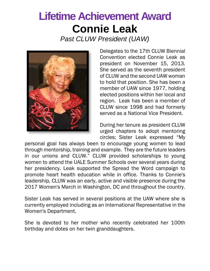### **Lifetime Achievement Award Connie Leak**

*Past CLUW President (UAW)*



Delegates to the 17th CLUW Biennial Convention elected Connie Leak as president on November 15, 2013. She served as the seventh president of CLUW and the second UAW woman to hold that position. She has been a member of UAW since 1977, holding elected positions within her local and region. Leak has been a member of CLUW since 1998 and had formerly served as a National Vice President.

During her tenure as president CLUW urged chapters to adopt mentoring circles; Sister Leak expressed "My

personal goal has always been to encourage young women to lead through mentorship, training and example. They are the future leaders in our unions and CLUW." CLUW provided scholarships to young women to attend the UALE Summer Schools over several years during her presidency. Leak supported the Spread the Word campaign to promote heart health education while in office. Thanks to Connie's leadership, CLUW was an early, active and visible presence during the 2017 Women's March in Washington, DC and throughout the country.

Sister Leak has served in several positions at the UAW where she is currently employed including as an International Representative in the Women's Department.

She is devoted to her mother who recently celebrated her 100th birthday and dotes on her twin granddaughters.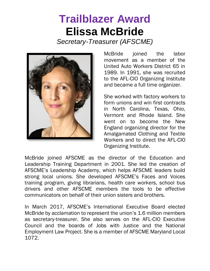#### **Trailblazer Award Elissa McBride**

*Secretary-Treasurer (AFSCME)* 



McBride joined the labor movement as a member of the United Auto Workers District 65 in 1989. In 1991, she was recruited to the AFL-CIO Organizing Institute and became a full time organizer.

She worked with factory workers to form unions and win first contracts in North Carolina, Texas, Ohio, Vermont and Rhode Island. She went on to become the New England organizing director for the Amalgamated Clothing and Textile Workers and to direct the AFL-CIO Organizing Institute.

McBride joined AFSCME as the director of the Education and Leadership Training Department in 2001. She led the creation of AFSCME's Leadership Academy, which helps AFSCME leaders build strong local unions. She developed AFSCME's Faces and Voices training program, giving librarians, health care workers, school bus drivers and other AFSCME members the tools to be effective communicators on behalf of their union sisters and brothers.

In March 2017, AFSCME's International Executive Board elected McBride by acclamation to represent the union's 1.6 million members as secretary-treasurer. She also serves on the AFL-CIO Executive Council and the boards of Jobs with Justice and the National Employment Law Project. She is a member of AFSCME Maryland Local 1072.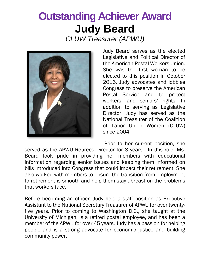### **Outstanding Achiever Award Judy Beard**

*CLUW Treasurer (APWU)*



Judy Beard serves as the elected Legislative and Political Director of the American Postal Workers Union. She was the first woman to be elected to this position in October 2016. Judy advocates and lobbies Congress to preserve the American Postal Service and to protect workers' and seniors' rights. In addition to serving as Legislative Director, Judy has served as the National Treasurer of the Coalition of Labor Union Women (CLUW) since 2004.

Prior to her current position, she served as the APWU Retirees Director for 8 years. In this role, Ms. Beard took pride in providing her members with educational information regarding senior issues and keeping them informed on bills introduced into Congress that could impact their retirement. She also worked with members to ensure the transition from employment to retirement is smooth and help them stay abreast on the problems that workers face.

Before becoming an officer, Judy held a staff position as Executive Assistant to the National Secretary Treasurer of APWU for over twentyfive years. Prior to coming to Washington D.C., she taught at the University of Michigan, is a retired postal employee, and has been a member of the APWU for over 45 years. Judy has a passion for helping people and is a strong advocate for economic justice and building community power.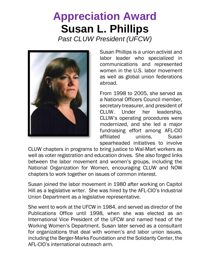### **Appreciation Award Susan L. Phillips**

*Past CLUW President (UFCW)*



Susan Phillips is a union activist and labor leader who specialized in communications and represented women in the U.S. labor movement as well as global union federations abroad.

From 1998 to 2005, she served as a National Officers Council member, secretary-treasurer, and president of CLUW. Under her leadership, CLUW's operating procedures were modernized, and she led a major fundraising effort among AFL-CIO affiliated unions. Susan spearheaded initiatives to involve

CLUW chapters in programs to bring justice to Wal-Mart workers as well as voter registration and education drives. She also forged links between the labor movement and women's groups, including the National Organization for Women, encouraging CLUW and NOW chapters to work together on issues of common interest.

Susan joined the labor movement in 1980 after working on Capitol Hill as a legislative writer. She was hired by the AFL-CIO's Industrial Union Department as a legislative representative.

She went to work at the UFCW in 1984, and served as director of the Publications Office until 1998, when she was elected as an International Vice President of the UFCW and named head of the Working Women's Department. Susan later served as a consultant for organizations that deal with women's and labor union issues, including the Berger-Marks Foundation and the Solidarity Center, the AFL-CIO's international outreach arm.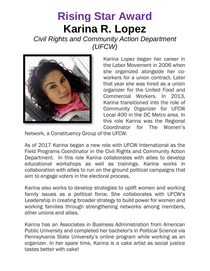#### **Rising Star Award Karina R. Lopez**

*Civil Rights and Community Action Department (UFCW)* 



Karina Lopez began her career in the Labor Movement in 2006 when she organized alongside her coworkers for a union contract. Later that year she was hired as a union organizer for the United Food and Commercial Workers. In 2013, Karina transitioned into the role of Community Organizer for UFCW Local 400 in the DC Metro area. In this role Karina was the Regional Coordinator for The Women's

Network, a Constituency Group of the UFCW.

As of 2017 Karina began a new role with UFCW International as the Field Programs Coordinator in the Civil Rights and Community Action Department. In this role Karina collaborates with allies to develop educational workshops as well as trainings. Karina works in collaboration with allies to run on the ground political campaigns that aim to engage voters in the electoral process.

Karina also works to develop strategies to uplift women and working family issues as a political force. She collaborates with UFCW's Leadership in creating broader strategy to build power for women and working families through strengthening networks among members, other unions and allies.

Karina has an Associates in Business Administration from American Public University and completed her bachelor's in Political Science via Pennsylvania State University's online program while working as an organizer. In her spare time, Karina is a cake artist as social justice tastes better with cake!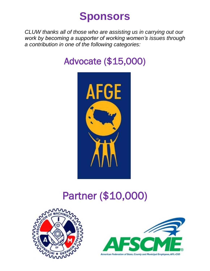#### **Sponsors**

*CLUW thanks all of those who are assisting us in carrying out our work by becoming a supporter of working women's issues through a contribution in one of the following categories:*

#### Advocate (\$15,000)



#### Partner (\$10,000)



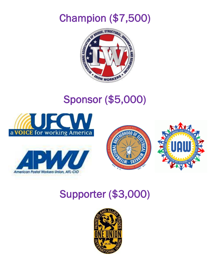Champion (\$7,500)



#### Sponsor (\$5,000)









#### Supporter (\$3,000)

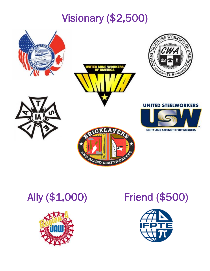### Visionary (\$2,500)











#### **UNITED STEELWORKERS**



**UNITY AND STRENGTH FOR WORKERS** 



#### Ally (\$1,000) Friend (\$500)

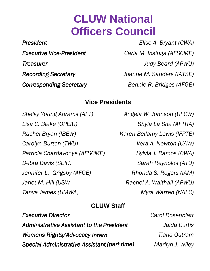#### **CLUW National Officers Council**

*President Elise A. Bryant (CWA) Executive Vice-President Carla M. Insinga (AFSCME) Treasurer Judy Beard (APWU) Recording Secretary Joanne M. Sanders (IATSE)* **Corresponding Secretary** Bennie R. Bridges (AFGE)

#### **Vice Presidents**

*Shelvy Young Abrams (AFT) Angela W. Johnson (UFCW) Lisa C. Blake (OPEIU) Shyla La'Sha (AFTRA) Rachel Bryan (IBEW) Karen Bellamy Lewis (IFPTE) Carolyn Burton (TWU) Patricia Chardavonye (AFSCME) Debra Davis (SEIU) Jennifer L. Grigsby (AFGE) Janet M. Hill (USW Tanya James (UMWA) Myra Warren (NALC)*

*Vera A. Newton (UAW) Sylvia J. Ramos (CWA) Sarah Reynolds (ATU) Rhonda S. Rogers (IAM) Rachel A. Walthall (APWU)*

#### **CLUW Staff** *Executive Director Carol Rosenblatt*

| <i><b>EXECUTIVE DIFECTOR</b></i>             | <u>GIUI RUSCIIVIQU</u> |
|----------------------------------------------|------------------------|
| Administrative Assistant to the President    | Jaida Curtis           |
| Womens Rights/Advocacy Intern                | Tiana Outram           |
| Special Administrative Assistant (part time) | Marilyn J. Wiley       |
|                                              |                        |